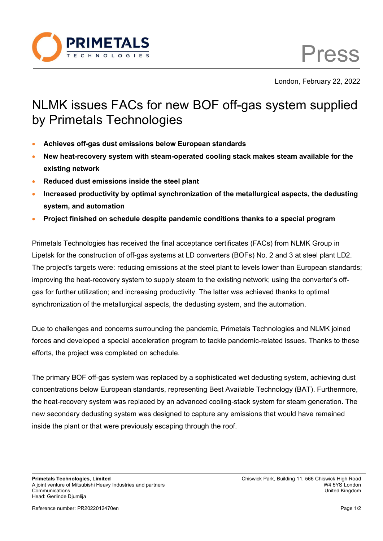

Press

London, February 22, 2022

## NLMK issues FACs for new BOF off-gas system supplied by Primetals Technologies

- **Achieves off-gas dust emissions below European standards**
- **New heat-recovery system with steam-operated cooling stack makes steam available for the existing network**
- **Reduced dust emissions inside the steel plant**
- **Increased productivity by optimal synchronization of the metallurgical aspects, the dedusting system, and automation**
- **Project finished on schedule despite pandemic conditions thanks to a special program**

Primetals Technologies has received the final acceptance certificates (FACs) from NLMK Group in Lipetsk for the construction of off-gas systems at LD converters (BOFs) No. 2 and 3 at steel plant LD2. The project's targets were: reducing emissions at the steel plant to levels lower than European standards; improving the heat-recovery system to supply steam to the existing network; using the converter's offgas for further utilization; and increasing productivity. The latter was achieved thanks to optimal synchronization of the metallurgical aspects, the dedusting system, and the automation.

Due to challenges and concerns surrounding the pandemic, Primetals Technologies and NLMK joined forces and developed a special acceleration program to tackle pandemic-related issues. Thanks to these efforts, the project was completed on schedule.

The primary BOF off-gas system was replaced by a sophisticated wet dedusting system, achieving dust concentrations below European standards, representing Best Available Technology (BAT). Furthermore, the heat-recovery system was replaced by an advanced cooling-stack system for steam generation. The new secondary dedusting system was designed to capture any emissions that would have remained inside the plant or that were previously escaping through the roof.